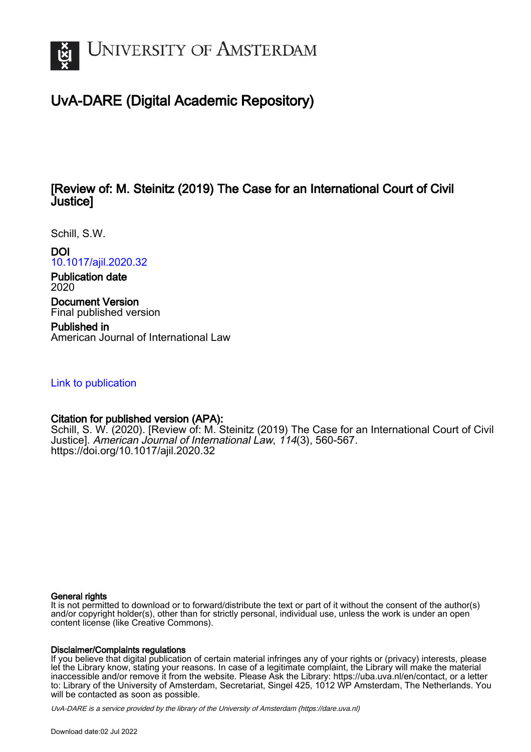

# UvA-DARE (Digital Academic Repository)

## [Review of: M. Steinitz (2019) The Case for an International Court of Civil Justice]

Schill, S.W.

DOI

[10.1017/ajil.2020.32](https://doi.org/10.1017/ajil.2020.32)

Publication date 2020

Document Version Final published version

Published in American Journal of International Law

## [Link to publication](https://dare.uva.nl/personal/pure/en/publications/review-of-m-steinitz-2019-the-case-for-an-international-court-of-civil-justice(f22adeee-b974-4191-8763-a8b75c895b7e).html)

## Citation for published version (APA):

Schill, S. W. (2020). [Review of: M. Steinitz (2019) The Case for an International Court of Civil Justice]. American Journal of International Law, 114(3), 560-567. <https://doi.org/10.1017/ajil.2020.32>

#### General rights

It is not permitted to download or to forward/distribute the text or part of it without the consent of the author(s) and/or copyright holder(s), other than for strictly personal, individual use, unless the work is under an open content license (like Creative Commons).

### Disclaimer/Complaints regulations

If you believe that digital publication of certain material infringes any of your rights or (privacy) interests, please let the Library know, stating your reasons. In case of a legitimate complaint, the Library will make the material inaccessible and/or remove it from the website. Please Ask the Library: https://uba.uva.nl/en/contact, or a letter to: Library of the University of Amsterdam, Secretariat, Singel 425, 1012 WP Amsterdam, The Netherlands. You will be contacted as soon as possible.

UvA-DARE is a service provided by the library of the University of Amsterdam (http*s*://dare.uva.nl)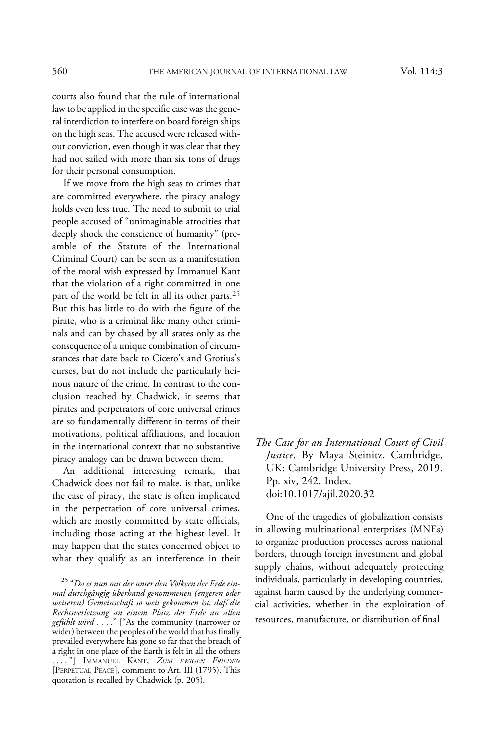The Case for an International Court of Civil Justice. By Maya Steinitz. Cambridge, UK: Cambridge University Press, 2019. Pp. xiv, 242. Index. doi:10.1017/ajil.2020.32

One of the tragedies of globalization consists in allowing multinational enterprises (MNEs) to organize production processes across national borders, through foreign investment and global supply chains, without adequately protecting individuals, particularly in developing countries, against harm caused by the underlying commercial activities, whether in the exploitation of resources, manufacture, or distribution of final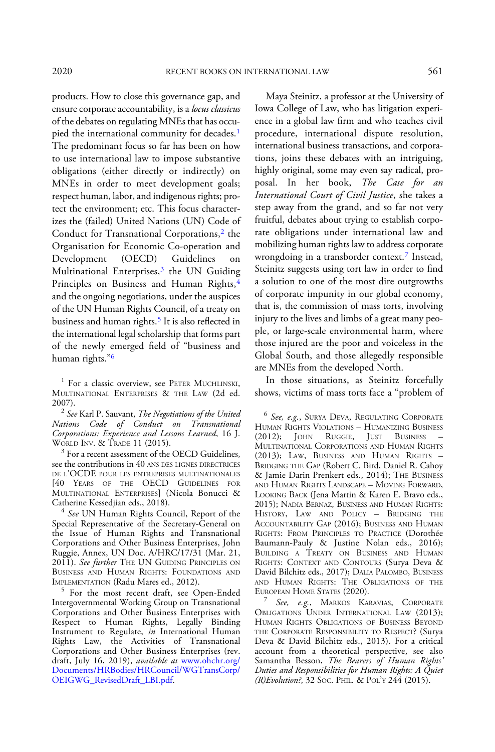products. How to close this governance gap, and ensure corporate accountability, is a locus classicus of the debates on regulating MNEs that has occupied the international community for decades.<sup>1</sup> The predominant focus so far has been on how to use international law to impose substantive obligations (either directly or indirectly) on MNEs in order to meet development goals; respect human, labor, and indigenous rights; protect the environment; etc. This focus characterizes the (failed) United Nations (UN) Code of Conduct for Transnational Corporations,<sup>2</sup> the Organisation for Economic Co-operation and Development (OECD) Guidelines on Multinational Enterprises,<sup>3</sup> the UN Guiding Principles on Business and Human Rights, 4 and the ongoing negotiations, under the auspices of the UN Human Rights Council, of a treaty on business and human rights.<sup>5</sup> It is also reflected in the international legal scholarship that forms part of the newly emerged field of "business and human rights."<sup>6</sup>

2007).<br><sup>2</sup> See Karl P. Sauvant, *The Negotiations of the United* Nations Code of Conduct on Transnational Corporations: Experience and Lessons Learned, 16 J.<br>WORLD INV. & TRADE 11 (2015).

 $3$  For a recent assessment of the OECD Guidelines, see the contributions in 40 ANS DES LIGNES DIRECTRICES DE L'OCDE POUR LES ENTREPRISES MULTINATIONALES [40 YEARS OF THE OECD GUIDELINES FOR MULTINATIONAL ENTERPRISES] (Nicola Bonucci &

 $4$  See UN Human Rights Council, Report of the Special Representative of the Secretary-General on the Issue of Human Rights and Transnational Corporations and Other Business Enterprises, John Ruggie, Annex, UN Doc. A/HRC/17/31 (Mar. 21, 2011). See further THE UN GUIDING PRINCIPLES ON BUSINESS AND HUMAN RIGHTS: FOUNDATIONS AND IMPLEMENTATION (Radu Mares ed., 2012).

 $5$  For the most recent draft, see Open-Ended Intergovernmental Working Group on Transnational Corporations and Other Business Enterprises with Respect to Human Rights, Legally Binding Instrument to Regulate, in International Human Rights Law, the Activities of Transnational Corporations and Other Business Enterprises (rev. draft, July 16, 2019), available at [www.ohchr.org/](https://www.ohchr.org/Documents/HRBodies/HRCouncil/WGTransCorp/OEIGWG_RevisedDraft_LBI.pdf) [Documents/HRBodies/HRCouncil/WGTransCorp/](https://www.ohchr.org/Documents/HRBodies/HRCouncil/WGTransCorp/OEIGWG_RevisedDraft_LBI.pdf) [OEIGWG\\_RevisedDraft\\_LBI.pdf](https://www.ohchr.org/Documents/HRBodies/HRCouncil/WGTransCorp/OEIGWG_RevisedDraft_LBI.pdf).

Maya Steinitz, a professor at the University of Iowa College of Law, who has litigation experience in a global law firm and who teaches civil procedure, international dispute resolution, international business transactions, and corporations, joins these debates with an intriguing, highly original, some may even say radical, proposal. In her book, The Case for an International Court of Civil Justice, she takes a step away from the grand, and so far not very fruitful, debates about trying to establish corporate obligations under international law and mobilizing human rights law to address corporate wrongdoing in a transborder context.<sup>7</sup> Instead, Steinitz suggests using tort law in order to find a solution to one of the most dire outgrowths of corporate impunity in our global economy, that is, the commission of mass torts, involving injury to the lives and limbs of a great many people, or large-scale environmental harm, where those injured are the poor and voiceless in the Global South, and those allegedly responsible are MNEs from the developed North.

In those situations, as Steinitz forcefully shows, victims of mass torts face a "problem of

<sup>6</sup> See, e.g., SURYA DEVA, REGULATING CORPORATE HUMAN RIGHTS VIOLATIONS – HUMANIZING BUSINESS Ruggie, Just Business MULTINATIONAL CORPORATIONS AND HUMAN RIGHTS (2013); LAW, BUSINESS AND HUMAN RIGHTS – BRIDGING THE GAP (Robert C. Bird, Daniel R. Cahoy & Jamie Darin Prenkert eds., 2014); THE BUSINESS AND HUMAN RIGHTS LANDSCAPE – MOVING FORWARD, LOOKING BACK (Jena Martin & Karen E. Bravo eds., 2015); NADIA BERNAZ, BUSINESS AND HUMAN RIGHTS: HISTORY, LAW AND POLICY – BRIDGING THE ACCOUNTABILITY GAP (2016); BUSINESS AND HUMAN RIGHTS: FROM PRINCIPLES TO PRACTICE (Dorothée Baumann-Pauly & Justine Nolan eds., 2016); BUILDING A TREATY ON BUSINESS AND HUMAN RIGHTS: CONTEXT AND CONTOURS (Surya Deva & David Bilchitz eds., 2017); DALIA PALOMBO, BUSINESS AND HUMAN RIGHTS: THE OBLIGATIONS OF THE EUROPEAN HOME STATES (2020).

 $E^7$  See, e.g., MARKOS KARAVIAS, CORPORATE OBLIGATIONS UNDER INTERNATIONAL LAW (2013); HUMAN RIGHTS OBLIGATIONS OF BUSINESS BEYOND THE CORPORATE RESPONSIBILITY TO RESPECT? (Surya Deva & David Bilchitz eds., 2013). For a critical account from a theoretical perspective, see also Samantha Besson, The Bearers of Human Rights' Duties and Responsibilities for Human Rights: A Quiet (R)Evolution?, 32 Soc. PHIL. & POL'Y 244 (2015).

<sup>&</sup>lt;sup>1</sup> For a classic overview, see PETER MUCHLINSKI, MULTINATIONAL ENTERPRISES & THE LAW (2d ed.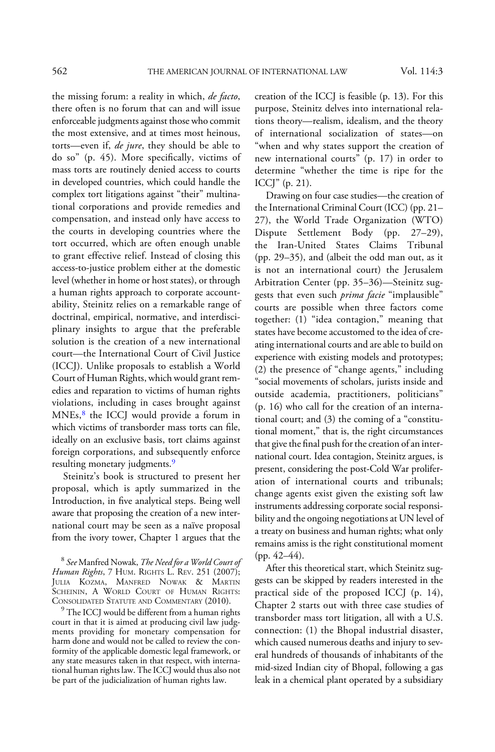the missing forum: a reality in which, de facto, there often is no forum that can and will issue enforceable judgments against those who commit the most extensive, and at times most heinous, torts—even if, *de jure*, they should be able to do so" (p. 45). More specifically, victims of mass torts are routinely denied access to courts in developed countries, which could handle the complex tort litigations against "their" multinational corporations and provide remedies and compensation, and instead only have access to the courts in developing countries where the tort occurred, which are often enough unable to grant effective relief. Instead of closing this access-to-justice problem either at the domestic level (whether in home or host states), or through a human rights approach to corporate accountability, Steinitz relies on a remarkable range of doctrinal, empirical, normative, and interdisciplinary insights to argue that the preferable solution is the creation of a new international court—the International Court of Civil Justice (ICCJ). Unlike proposals to establish a World Court of Human Rights, which would grant remedies and reparation to victims of human rights violations, including in cases brought against MNEs,<sup>8</sup> the ICCJ would provide a forum in which victims of transborder mass torts can file, ideally on an exclusive basis, tort claims against foreign corporations, and subsequently enforce resulting monetary judgments.<sup>9</sup>

Steinitz's book is structured to present her proposal, which is aptly summarized in the Introduction, in five analytical steps. Being well aware that proposing the creation of a new international court may be seen as a naïve proposal from the ivory tower, Chapter 1 argues that the

 $\degree$  The ICCJ would be different from a human rights court in that it is aimed at producing civil law judgments providing for monetary compensation for harm done and would not be called to review the conformity of the applicable domestic legal framework, or any state measures taken in that respect, with international human rights law. The ICCJ would thus also not be part of the judicialization of human rights law.

creation of the ICCJ is feasible (p. 13). For this purpose, Steinitz delves into international relations theory—realism, idealism, and the theory of international socialization of states—on "when and why states support the creation of new international courts" (p. 17) in order to determine "whether the time is ripe for the ICCJ" (p. 21).

Drawing on four case studies—the creation of the International Criminal Court (ICC) (pp. 21– 27), the World Trade Organization (WTO) Dispute Settlement Body (pp. 27–29), the Iran-United States Claims Tribunal (pp. 29–35), and (albeit the odd man out, as it is not an international court) the Jerusalem Arbitration Center (pp. 35–36)—Steinitz suggests that even such *prima facie* "implausible" courts are possible when three factors come together: (1) "idea contagion," meaning that states have become accustomed to the idea of creating international courts and are able to build on experience with existing models and prototypes; (2) the presence of "change agents," including "social movements of scholars, jurists inside and outside academia, practitioners, politicians" (p. 16) who call for the creation of an international court; and (3) the coming of a "constitutional moment," that is, the right circumstances that give the final push for the creation of an international court. Idea contagion, Steinitz argues, is present, considering the post-Cold War proliferation of international courts and tribunals; change agents exist given the existing soft law instruments addressing corporate social responsibility and the ongoing negotiations at UN level of a treaty on business and human rights; what only remains amiss is the right constitutional moment (pp. 42–44).

After this theoretical start, which Steinitz suggests can be skipped by readers interested in the practical side of the proposed ICCJ (p. 14), Chapter 2 starts out with three case studies of transborder mass tort litigation, all with a U.S. connection: (1) the Bhopal industrial disaster, which caused numerous deaths and injury to several hundreds of thousands of inhabitants of the mid-sized Indian city of Bhopal, following a gas leak in a chemical plant operated by a subsidiary

<sup>8</sup> See Manfred Nowak, The Need for a World Court of Human Rights, 7 HUM. RIGHTS L. REV. 251 (2007); JULIA KOZMA, MANFRED NOWAK & MARTIN SCHEININ, A WORLD COURT OF HUMAN RIGHTS:<br>CONSOLIDATED STATUTE AND COMMENTARY (2010).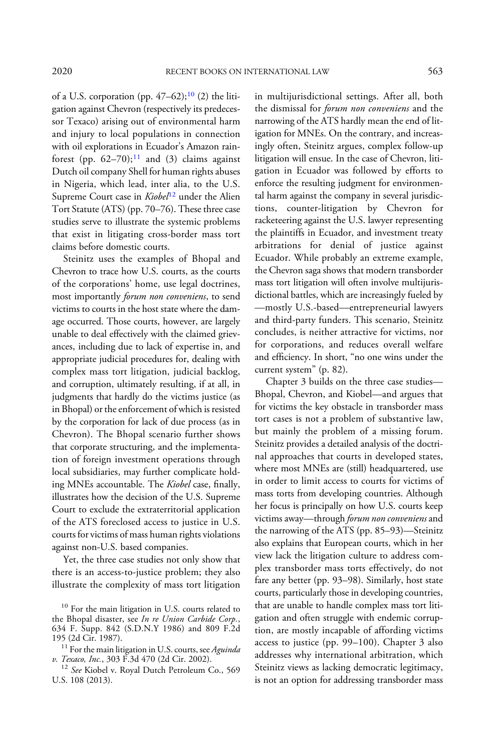of a U.S. corporation (pp.  $47-62$ );<sup>10</sup> (2) the litigation against Chevron (respectively its predecessor Texaco) arising out of environmental harm and injury to local populations in connection with oil explorations in Ecuador's Amazon rainforest (pp.  $62-70$ );<sup>11</sup> and (3) claims against Dutch oil company Shell for human rights abuses in Nigeria, which lead, inter alia, to the U.S. Supreme Court case in Kiobel<sup>12</sup> under the Alien Tort Statute (ATS) (pp. 70–76). These three case studies serve to illustrate the systemic problems that exist in litigating cross-border mass tort claims before domestic courts.

Steinitz uses the examples of Bhopal and Chevron to trace how U.S. courts, as the courts of the corporations' home, use legal doctrines, most importantly forum non conveniens, to send victims to courts in the host state where the damage occurred. Those courts, however, are largely unable to deal effectively with the claimed grievances, including due to lack of expertise in, and appropriate judicial procedures for, dealing with complex mass tort litigation, judicial backlog, and corruption, ultimately resulting, if at all, in judgments that hardly do the victims justice (as in Bhopal) or the enforcement of which is resisted by the corporation for lack of due process (as in Chevron). The Bhopal scenario further shows that corporate structuring, and the implementation of foreign investment operations through local subsidiaries, may further complicate holding MNEs accountable. The Kiobel case, finally, illustrates how the decision of the U.S. Supreme Court to exclude the extraterritorial application of the ATS foreclosed access to justice in U.S. courts for victims of mass human rights violations against non-U.S. based companies.

Yet, the three case studies not only show that there is an access-to-justice problem; they also illustrate the complexity of mass tort litigation in multijurisdictional settings. After all, both the dismissal for forum non conveniens and the narrowing of the ATS hardly mean the end of litigation for MNEs. On the contrary, and increasingly often, Steinitz argues, complex follow-up litigation will ensue. In the case of Chevron, litigation in Ecuador was followed by efforts to enforce the resulting judgment for environmental harm against the company in several jurisdictions, counter-litigation by Chevron for racketeering against the U.S. lawyer representing the plaintiffs in Ecuador, and investment treaty arbitrations for denial of justice against Ecuador. While probably an extreme example, the Chevron saga shows that modern transborder mass tort litigation will often involve multijurisdictional battles, which are increasingly fueled by —mostly U.S.-based—entrepreneurial lawyers and third-party funders. This scenario, Steinitz concludes, is neither attractive for victims, nor for corporations, and reduces overall welfare and efficiency. In short, "no one wins under the current system" (p. 82).

Chapter 3 builds on the three case studies— Bhopal, Chevron, and Kiobel—and argues that for victims the key obstacle in transborder mass tort cases is not a problem of substantive law, but mainly the problem of a missing forum. Steinitz provides a detailed analysis of the doctrinal approaches that courts in developed states, where most MNEs are (still) headquartered, use in order to limit access to courts for victims of mass torts from developing countries. Although her focus is principally on how U.S. courts keep victims away—through *forum non conveniens* and the narrowing of the ATS (pp. 85–93)—Steinitz also explains that European courts, which in her view lack the litigation culture to address complex transborder mass torts effectively, do not fare any better (pp. 93–98). Similarly, host state courts, particularly those in developing countries, that are unable to handle complex mass tort litigation and often struggle with endemic corruption, are mostly incapable of affording victims access to justice (pp. 99–100). Chapter 3 also addresses why international arbitration, which Steinitz views as lacking democratic legitimacy, is not an option for addressing transborder mass

<sup>&</sup>lt;sup>10</sup> For the main litigation in U.S. courts related to the Bhopal disaster, see In re Union Carbide Corp., 634 F. Supp. 842 (S.D.N.Y 1986) and 809 F.2d

<sup>195 (2</sup>d Cir. 1987).<br><sup>11</sup> For the main litigation in U.S. courts, see Aguinda<br>v. Texaco, Inc., 303 F.3d 470 (2d Cir. 2002).

<sup>&</sup>lt;sup>12</sup> See Kiobel v. Royal Dutch Petroleum Co., 569 U.S. 108 (2013).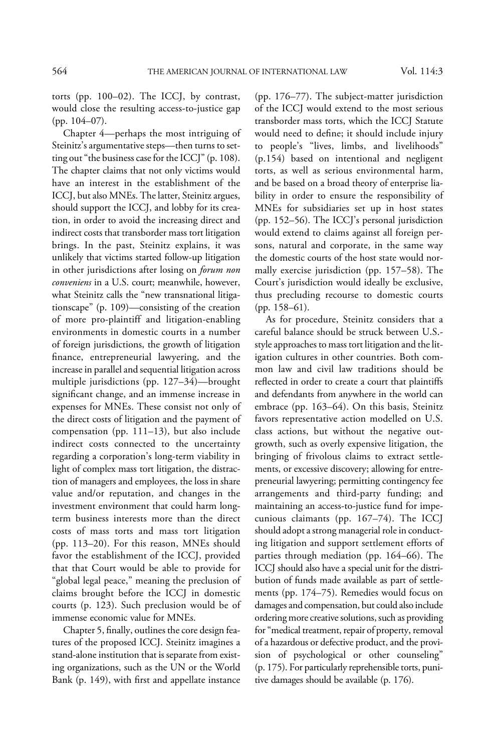torts (pp. 100–02). The ICCJ, by contrast, would close the resulting access-to-justice gap (pp. 104–07).

Chapter 4—perhaps the most intriguing of Steinitz's argumentative steps—then turns to setting out "the business case for the ICCJ" (p. 108). The chapter claims that not only victims would have an interest in the establishment of the ICCJ, but also MNEs. The latter, Steinitz argues, should support the ICCJ, and lobby for its creation, in order to avoid the increasing direct and indirect costs that transborder mass tort litigation brings. In the past, Steinitz explains, it was unlikely that victims started follow-up litigation in other jurisdictions after losing on *forum non* conveniens in a U.S. court; meanwhile, however, what Steinitz calls the "new transnational litigationscape" (p. 109)—consisting of the creation of more pro-plaintiff and litigation-enabling environments in domestic courts in a number of foreign jurisdictions, the growth of litigation finance, entrepreneurial lawyering, and the increase in parallel and sequential litigation across multiple jurisdictions (pp. 127–34)—brought significant change, and an immense increase in expenses for MNEs. These consist not only of the direct costs of litigation and the payment of compensation (pp. 111–13), but also include indirect costs connected to the uncertainty regarding a corporation's long-term viability in light of complex mass tort litigation, the distraction of managers and employees, the loss in share value and/or reputation, and changes in the investment environment that could harm longterm business interests more than the direct costs of mass torts and mass tort litigation (pp. 113–20). For this reason, MNEs should favor the establishment of the ICCJ, provided that that Court would be able to provide for "global legal peace," meaning the preclusion of claims brought before the ICCJ in domestic courts (p. 123). Such preclusion would be of immense economic value for MNEs.

Chapter 5, finally, outlines the core design features of the proposed ICCJ. Steinitz imagines a stand-alone institution that is separate from existing organizations, such as the UN or the World Bank (p. 149), with first and appellate instance

(pp. 176–77). The subject-matter jurisdiction of the ICCJ would extend to the most serious transborder mass torts, which the ICCJ Statute would need to define; it should include injury to people's "lives, limbs, and livelihoods" (p.154) based on intentional and negligent torts, as well as serious environmental harm, and be based on a broad theory of enterprise liability in order to ensure the responsibility of MNEs for subsidiaries set up in host states (pp. 152–56). The ICCJ's personal jurisdiction would extend to claims against all foreign persons, natural and corporate, in the same way the domestic courts of the host state would normally exercise jurisdiction (pp. 157–58). The Court's jurisdiction would ideally be exclusive, thus precluding recourse to domestic courts (pp. 158–61).

As for procedure, Steinitz considers that a careful balance should be struck between U.S. style approaches to mass tort litigation and the litigation cultures in other countries. Both common law and civil law traditions should be reflected in order to create a court that plaintiffs and defendants from anywhere in the world can embrace (pp. 163–64). On this basis, Steinitz favors representative action modelled on U.S. class actions, but without the negative outgrowth, such as overly expensive litigation, the bringing of frivolous claims to extract settlements, or excessive discovery; allowing for entrepreneurial lawyering; permitting contingency fee arrangements and third-party funding; and maintaining an access-to-justice fund for impecunious claimants (pp. 167–74). The ICCJ should adopt a strong managerial role in conducting litigation and support settlement efforts of parties through mediation (pp. 164–66). The ICCJ should also have a special unit for the distribution of funds made available as part of settlements (pp. 174–75). Remedies would focus on damages and compensation, but could also include ordering more creative solutions, such as providing for"medical treatment, repair of property, removal of a hazardous or defective product, and the provision of psychological or other counseling" (p. 175). For particularly reprehensible torts, punitive damages should be available (p. 176).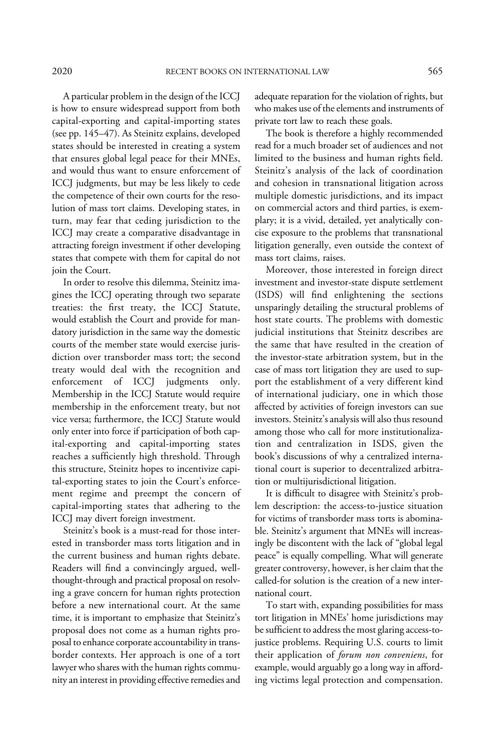A particular problem in the design of the ICCJ is how to ensure widespread support from both capital-exporting and capital-importing states (see pp. 145–47). As Steinitz explains, developed states should be interested in creating a system that ensures global legal peace for their MNEs, and would thus want to ensure enforcement of ICCJ judgments, but may be less likely to cede the competence of their own courts for the resolution of mass tort claims. Developing states, in turn, may fear that ceding jurisdiction to the ICCJ may create a comparative disadvantage in attracting foreign investment if other developing states that compete with them for capital do not join the Court.

In order to resolve this dilemma, Steinitz imagines the ICCJ operating through two separate treaties: the first treaty, the ICCJ Statute, would establish the Court and provide for mandatory jurisdiction in the same way the domestic courts of the member state would exercise jurisdiction over transborder mass tort; the second treaty would deal with the recognition and enforcement of ICCJ judgments only. Membership in the ICCJ Statute would require membership in the enforcement treaty, but not vice versa; furthermore, the ICCJ Statute would only enter into force if participation of both capital-exporting and capital-importing states reaches a sufficiently high threshold. Through this structure, Steinitz hopes to incentivize capital-exporting states to join the Court's enforcement regime and preempt the concern of capital-importing states that adhering to the ICCJ may divert foreign investment.

Steinitz's book is a must-read for those interested in transborder mass torts litigation and in the current business and human rights debate. Readers will find a convincingly argued, wellthought-through and practical proposal on resolving a grave concern for human rights protection before a new international court. At the same time, it is important to emphasize that Steinitz's proposal does not come as a human rights proposal to enhance corporate accountability in transborder contexts. Her approach is one of a tort lawyer who shares with the human rights community an interest in providing effective remedies and adequate reparation for the violation of rights, but who makes use of the elements and instruments of private tort law to reach these goals.

The book is therefore a highly recommended read for a much broader set of audiences and not limited to the business and human rights field. Steinitz's analysis of the lack of coordination and cohesion in transnational litigation across multiple domestic jurisdictions, and its impact on commercial actors and third parties, is exemplary; it is a vivid, detailed, yet analytically concise exposure to the problems that transnational litigation generally, even outside the context of mass tort claims, raises.

Moreover, those interested in foreign direct investment and investor-state dispute settlement (ISDS) will find enlightening the sections unsparingly detailing the structural problems of host state courts. The problems with domestic judicial institutions that Steinitz describes are the same that have resulted in the creation of the investor-state arbitration system, but in the case of mass tort litigation they are used to support the establishment of a very different kind of international judiciary, one in which those affected by activities of foreign investors can sue investors. Steinitz's analysis will also thus resound among those who call for more institutionalization and centralization in ISDS, given the book's discussions of why a centralized international court is superior to decentralized arbitration or multijurisdictional litigation.

It is difficult to disagree with Steinitz's problem description: the access-to-justice situation for victims of transborder mass torts is abominable. Steinitz's argument that MNEs will increasingly be discontent with the lack of "global legal peace" is equally compelling. What will generate greater controversy, however, is her claim that the called-for solution is the creation of a new international court.

To start with, expanding possibilities for mass tort litigation in MNEs' home jurisdictions may be sufficient to address the most glaring access-tojustice problems. Requiring U.S. courts to limit their application of forum non conveniens, for example, would arguably go a long way in affording victims legal protection and compensation.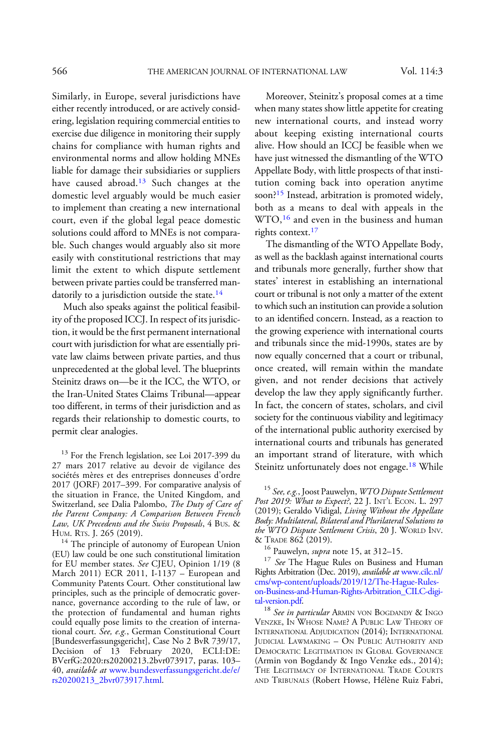Similarly, in Europe, several jurisdictions have either recently introduced, or are actively considering, legislation requiring commercial entities to exercise due diligence in monitoring their supply chains for compliance with human rights and environmental norms and allow holding MNEs liable for damage their subsidiaries or suppliers have caused abroad.<sup>13</sup> Such changes at the domestic level arguably would be much easier to implement than creating a new international court, even if the global legal peace domestic solutions could afford to MNEs is not comparable. Such changes would arguably also sit more easily with constitutional restrictions that may limit the extent to which dispute settlement between private parties could be transferred mandatorily to a jurisdiction outside the state.<sup>14</sup>

Much also speaks against the political feasibility of the proposed ICCJ. In respect of its jurisdiction, it would be the first permanent international court with jurisdiction for what are essentially private law claims between private parties, and thus unprecedented at the global level. The blueprints Steinitz draws on—be it the ICC, the WTO, or the Iran-United States Claims Tribunal—appear too different, in terms of their jurisdiction and as regards their relationship to domestic courts, to permit clear analogies.

<sup>13</sup> For the French legislation, see Loi 2017-399 du 27 mars 2017 relative au devoir de vigilance des sociétés mères et des entreprises donneuses d'ordre 2017 (JORF) 2017–399. For comparative analysis of the situation in France, the United Kingdom, and Switzerland, see Dalia Palombo, The Duty of Care of the Parent Company: A Comparison Between French Law, UK Precedents and the Swiss Proposals, 4 Bus. & Hum. Rrs. J. 265 (2019).

<sup>14</sup> The principle of autonomy of European Union (EU) law could be one such constitutional limitation for EU member states. See CJEU, Opinion 1/19 (8 March 2011) ECR 2011, I-1137 – European and Community Patents Court. Other constitutional law principles, such as the principle of democratic governance, governance according to the rule of law, or the protection of fundamental and human rights could equally pose limits to the creation of international court. See, e.g., German Constitutional Court [Bundesverfassungsgericht], Case No 2 BvR 739/17, Decision of 13 February 2020, ECLI:DE: BVerfG:2020:rs20200213.2bvr073917, paras. 103– 40, available at [www.bundesverfassungsgericht.de/e/](https://www.bundesverfassungsgericht.de/e/rs20200213_2bvr073917.html) [rs20200213\\_2bvr073917.html.](https://www.bundesverfassungsgericht.de/e/rs20200213_2bvr073917.html)

Moreover, Steinitz's proposal comes at a time when many states show little appetite for creating new international courts, and instead worry about keeping existing international courts alive. How should an ICCJ be feasible when we have just witnessed the dismantling of the WTO Appellate Body, with little prospects of that institution coming back into operation anytime soon?<sup>15</sup> Instead, arbitration is promoted widely, both as a means to deal with appeals in the WTO,<sup>16</sup> and even in the business and human rights context.<sup>17</sup>

The dismantling of the WTO Appellate Body, as well as the backlash against international courts and tribunals more generally, further show that states' interest in establishing an international court or tribunal is not only a matter of the extent to which such an institution can provide a solution to an identified concern. Instead, as a reaction to the growing experience with international courts and tribunals since the mid-1990s, states are by now equally concerned that a court or tribunal, once created, will remain within the mandate given, and not render decisions that actively develop the law they apply significantly further. In fact, the concern of states, scholars, and civil society for the continuous viability and legitimacy of the international public authority exercised by international courts and tribunals has generated an important strand of literature, with which Steinitz unfortunately does not engage.<sup>18</sup> While

<sup>16</sup> Pauwelyn, *supra* note 15, at 312–15.<br><sup>17</sup> *See* The Hague Rules on Business and Human Rights Arbitration (Dec. 2019), available at [www.cilc.nl/](http://www.cilc.nl/cms/wp-content/uploads/2019/12/The-Hague-Rules-on-Business-and-Human-Rights-Arbitration_CILC-digital-version.pdf) [cms/wp-content/uploads/2019/12/The-Hague-Rules](http://www.cilc.nl/cms/wp-content/uploads/2019/12/The-Hague-Rules-on-Business-and-Human-Rights-Arbitration_CILC-digital-version.pdf)[on-Business-and-Human-Rights-Arbitration\\_CILC-digi-](http://www.cilc.nl/cms/wp-content/uploads/2019/12/The-Hague-Rules-on-Business-and-Human-Rights-Arbitration_CILC-digital-version.pdf)

 $18$  See in particular ARMIN VON BOGDANDY & INGO VENZKE, IN WHOSE NAME? A PUBLIC LAW THEORY OF INTERNATIONAL ADJUDICATION (2014); INTERNATIONAL JUDICIAL LAWMAKING – ON PUBLIC AUTHORITY AND DEMOCRATIC LEGITIMATION IN GLOBAL GOVERNANCE (Armin von Bogdandy & Ingo Venzke eds., 2014); THE LEGITIMACY OF INTERNATIONAL TRADE COURTS AND TRIBUNALS (Robert Howse, Hélène Ruiz Fabri,

<sup>&</sup>lt;sup>15</sup> See, e.g., Joost Pauwelyn, WTO Dispute Settlement Post 2019: What to Expect?, 22 J. INT'L ECON. L. 297 (2019); Geraldo Vidigal, Living Without the Appellate Body: Multilateral, Bilateral and Plurilateral Solutions to the WTO Dispute Settlement Crisis, 20 J. WORLD INV.<br>& TRADE 862 (2019).